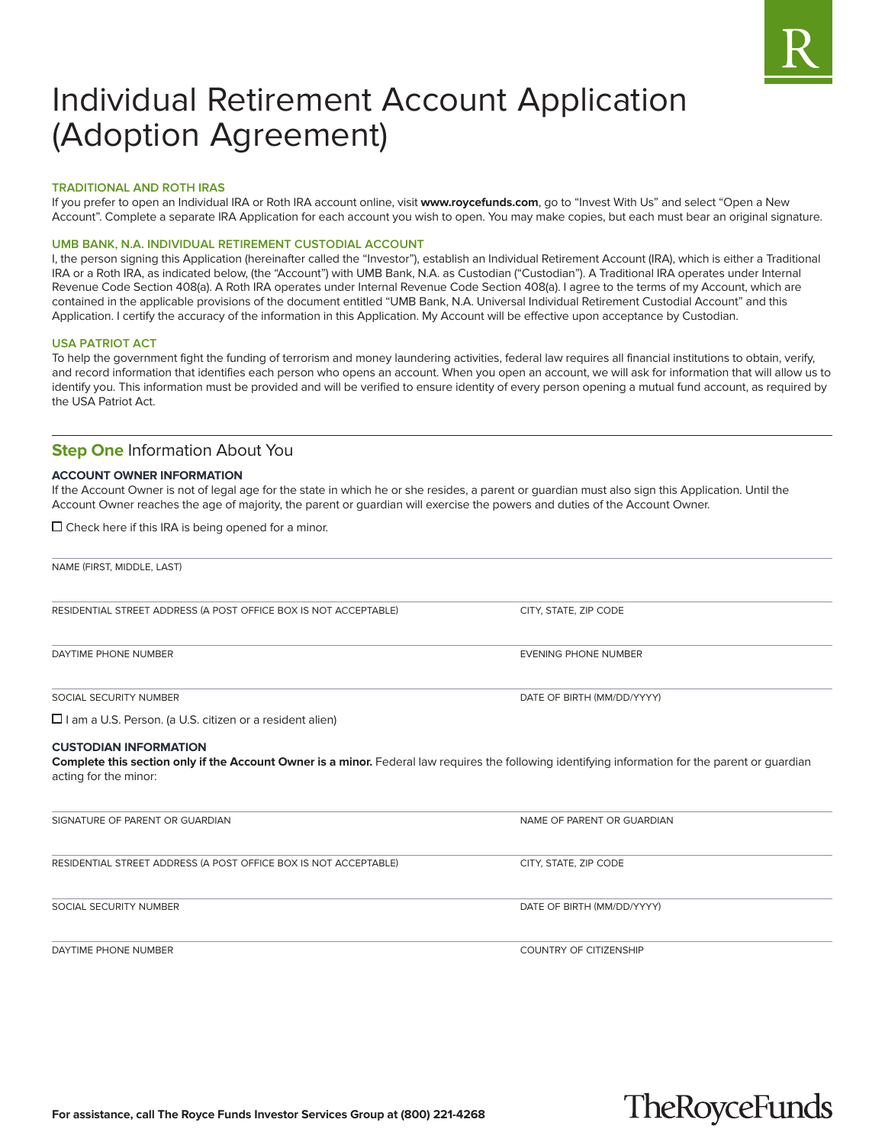

# Individual Retirement Account Application (Adoption Agreement)

# **TRADITIONAL AND ROTH IRAS**

If you prefer to open an Individual IRA or Roth IRA account online, visit **www.roycefunds.com**, go to "Invest With Us" and select "Open a New Account". Complete a separate IRA Application for each account you wish to open. You may make copies, but each must bear an original signature.

# **UMB BANK, N.A. INDIVIDUAL RETIREMENT CUSTODIAL ACCOUNT**

I, the person signing this Application (hereinafter called the "Investor"), establish an Individual Retirement Account (IRA), which is either a Traditional IRA or a Roth IRA, as indicated below, (the "Account") with UMB Bank, N.A. as Custodian ("Custodian"). A Traditional IRA operates under Internal Revenue Code Section 408(a). A Roth IRA operates under Internal Revenue Code Section 408(a). I agree to the terms of my Account, which are contained in the applicable provisions of the document entitled "UMB Bank, N.A. Universal Individual Retirement Custodial Account" and this Application. I certify the accuracy of the information in this Application. My Account will be effective upon acceptance by Custodian.

# **USA PATRIOT ACT**

To help the government fight the funding of terrorism and money laundering activities, federal law requires all financial institutions to obtain, verify, and record information that identifies each person who opens an account. When you open an account, we will ask for information that will allow us to identify you. This information must be provided and will be verified to ensure identity of every person opening a mutual fund account, as required by the USA Patriot Act.

# **Step One Information About You**

# **ACCOUNT OWNER INFORMATION**

If the Account Owner is not of legal age for the state in which he or she resides, a parent or guardian must also sign this Application. Until the Account Owner reaches the age of majority, the parent or guardian will exercise the powers and duties of the Account Owner.

 $\square$  Check here if this IRA is being opened for a minor.

NAME (FIRST, MIDDLE, LAST) RESIDENTIAL STREET ADDRESS (A POST OFFICE BOX IS NOT ACCEPTABLE) CITY, STATE, ZIP CODE DAYTIME PHONE NUMBER EVENING PHONE NUMBER SOCIAL SECURITY NUMBER **SOCIAL SECURITY NUMBER EXAMPLE OF BIRTH (MM/DD/YYYY)**  $\square$  I am a U.S. Person. (a U.S. citizen or a resident alien) **CUSTODIAN INFORMATION Complete this section only if the Account Owner is a minor.** Federal law requires the following identifying information for the parent or guardian acting for the minor: SIGNATURE OF PARENT OR GUARDIAN NAME OF PARENT OR GUARDIAN NAME OF PARENT OR GUARDIAN RESIDENTIAL STREET ADDRESS (A POST OFFICE BOX IS NOT ACCEPTABLE) CITY, STATE, ZIP CODE SOCIAL SECURITY NUMBER **Example 20 and 20 and 20 and 20 and 20 and 20 and 20 and 20 and 20 and 20 and 20 and 20 and 20 and 20 and 20 and 20 and 20 and 20 and 20 and 20 and 20 and 20 and 20 and 20 and 20 and 20 and 20 and 2** 

DAYTIME PHONE NUMBER COUNTRY OF CITIZENSHIP

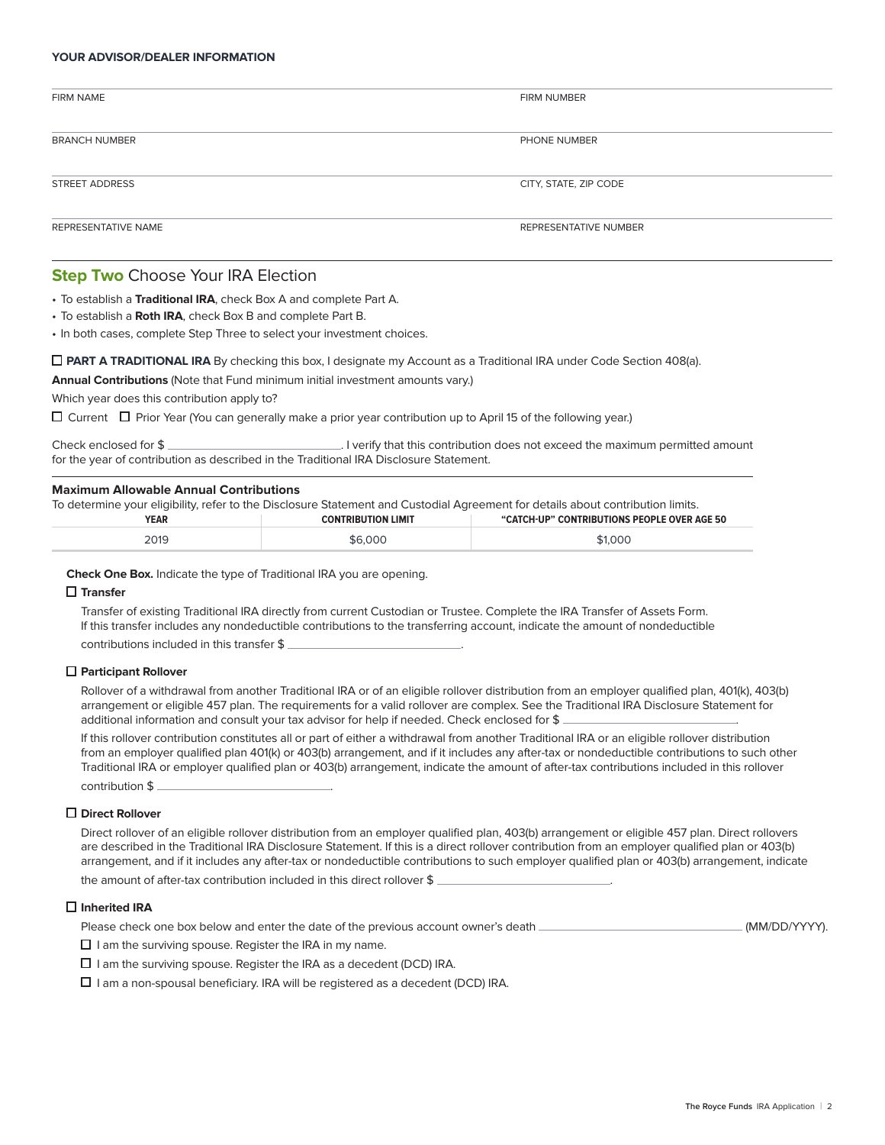# **YOUR ADVISOR/DEALER INFORMATION**

| <b>FIRM NAME</b>     | FIRM NUMBER           |
|----------------------|-----------------------|
| <b>BRANCH NUMBER</b> | PHONE NUMBER          |
|                      |                       |
| STREET ADDRESS       | CITY, STATE, ZIP CODE |
| REPRESENTATIVE NAME  | REPRESENTATIVE NUMBER |

# **Step Two** Choose Your IRA Election

• To establish a **Traditional IRA**, check Box A and complete Part A.

• To establish a **Roth IRA**, check Box B and complete Part B.

• In both cases, complete Step Three to select your investment choices.

**PART A TRADITIONAL IRA** By checking this box, I designate my Account as a Traditional IRA under Code Section 408(a).

**Annual Contributions** (Note that Fund minimum initial investment amounts vary.)

Which year does this contribution apply to?

 $\Box$  Current  $\Box$  Prior Year (You can generally make a prior year contribution up to April 15 of the following year.)

| Check enclosed for $\frac{1}{2}$                                                       | I verify that this contribution does not exceed the maximum permitted amount |
|----------------------------------------------------------------------------------------|------------------------------------------------------------------------------|
| for the year of contribution as described in the Traditional IRA Disclosure Statement. |                                                                              |

# **Maximum Allowable Annual Contributions**

| To determine your eligibility, refer to the Disclosure Statement and Custodial Agreement for details about contribution limits. |                           |                                             |
|---------------------------------------------------------------------------------------------------------------------------------|---------------------------|---------------------------------------------|
| <b>YEAR</b>                                                                                                                     | <b>CONTRIBUTION LIMIT</b> | "CATCH-UP" CONTRIBUTIONS PEOPLE OVER AGE 50 |
| 2019                                                                                                                            | \$6,000                   | \$1,000                                     |

**Check One Box.** Indicate the type of Traditional IRA you are opening.

# **Transfer**

 Transfer of existing Traditional IRA directly from current Custodian or Trustee. Complete the IRA Transfer of Assets Form. If this transfer includes any nondeductible contributions to the transferring account, indicate the amount of nondeductible contributions included in this transfer \$ .

#### **Participant Rollover**

 Rollover of a withdrawal from another Traditional IRA or of an eligible rollover distribution from an employer qualified plan, 401(k), 403(b) arrangement or eligible 457 plan. The requirements for a valid rollover are complex. See the Traditional IRA Disclosure Statement for additional information and consult your tax advisor for help if needed. Check enclosed for \$

 If this rollover contribution constitutes all or part of either a withdrawal from another Traditional IRA or an eligible rollover distribution from an employer qualified plan 401(k) or 403(b) arrangement, and if it includes any after-tax or nondeductible contributions to such other Traditional IRA or employer qualified plan or 403(b) arrangement, indicate the amount of after-tax contributions included in this rollover contribution \$ .

#### **Direct Rollover**

 Direct rollover of an eligible rollover distribution from an employer qualified plan, 403(b) arrangement or eligible 457 plan. Direct rollovers are described in the Traditional IRA Disclosure Statement. If this is a direct rollover contribution from an employer qualified plan or 403(b) arrangement, and if it includes any after-tax or nondeductible contributions to such employer qualified plan or 403(b) arrangement, indicate the amount of after-tax contribution included in this direct rollover \$ .

# **Inherited IRA**

| Please check one box below and enter the date of the previous account owner's death - | (MM/DD/YYYY). |
|---------------------------------------------------------------------------------------|---------------|
|---------------------------------------------------------------------------------------|---------------|

 $\square$  I am the surviving spouse. Register the IRA in my name.

 $\Box$  I am the surviving spouse. Register the IRA as a decedent (DCD) IRA.

 $\Box$  I am a non-spousal beneficiary. IRA will be registered as a decedent (DCD) IRA.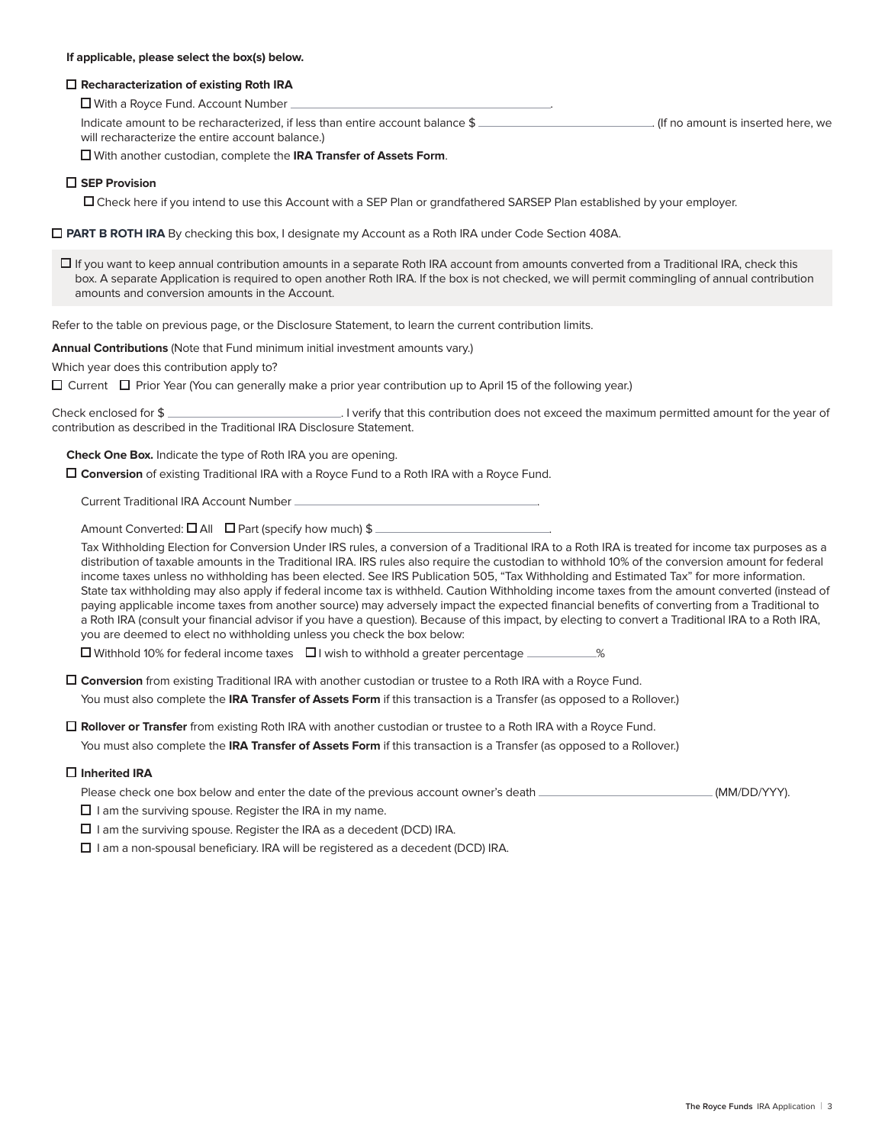## **If applicable, please select the box(s) below.**

## **Recharacterization of existing Roth IRA**

■ With a Royce Fund. Account Number

Indicate amount to be recharacterized, if less than entire account balance \$ will recharacterize the entire account balance.)

With another custodian, complete the **IRA Transfer of Assets Form**.

# **SEP Provision**

Check here if you intend to use this Account with a SEP Plan or grandfathered SARSEP Plan established by your employer.

**PART B ROTH IRA** By checking this box, I designate my Account as a Roth IRA under Code Section 408A.

 $\Box$  If you want to keep annual contribution amounts in a separate Roth IRA account from amounts converted from a Traditional IRA, check this box. A separate Application is required to open another Roth IRA. If the box is not checked, we will permit commingling of annual contribution amounts and conversion amounts in the Account.

Refer to the table on previous page, or the Disclosure Statement, to learn the current contribution limits.

**Annual Contributions** (Note that Fund minimum initial investment amounts vary.)

Which year does this contribution apply to?

 $\Box$  Current  $\Box$  Prior Year (You can generally make a prior year contribution up to April 15 of the following year.)

Check enclosed for \$ contribution as described in the Traditional IRA Disclosure Statement.

**Check One Box.** Indicate the type of Roth IRA you are opening.

**Conversion** of existing Traditional IRA with a Royce Fund to a Roth IRA with a Royce Fund.

Current Traditional IRA Account Number .

Amount Converted:  $\Box$  All  $\Box$  Part (specify how much) \$

 Tax Withholding Election for Conversion Under IRS rules, a conversion of a Traditional IRA to a Roth IRA is treated for income tax purposes as a distribution of taxable amounts in the Traditional IRA. IRS rules also require the custodian to withhold 10% of the conversion amount for federal income taxes unless no withholding has been elected. See IRS Publication 505, "Tax Withholding and Estimated Tax" for more information. State tax withholding may also apply if federal income tax is withheld. Caution Withholding income taxes from the amount converted (instead of paying applicable income taxes from another source) may adversely impact the expected financial benefits of converting from a Traditional to a Roth IRA (consult your financial advisor if you have a question). Because of this impact, by electing to convert a Traditional IRA to a Roth IRA, you are deemed to elect no withholding unless you check the box below:

 $\square$  Withhold 10% for federal income taxes  $\square$  I wish to withhold a greater percentage  $\square$ 

 **Conversion** from existing Traditional IRA with another custodian or trustee to a Roth IRA with a Royce Fund. You must also complete the **IRA Transfer of Assets Form** if this transaction is a Transfer (as opposed to a Rollover.)

**Rollover or Transfer** from existing Roth IRA with another custodian or trustee to a Roth IRA with a Royce Fund.

You must also complete the **IRA Transfer of Assets Form** if this transaction is a Transfer (as opposed to a Rollover.)

# **Inherited IRA**

Please check one box below and enter the date of the previous account owner's death [MM] [MM] [MM] [MM] [MM] [DD/YYY].

 $\square$  I am the surviving spouse. Register the IRA in my name.

 $\Box$  I am the surviving spouse. Register the IRA as a decedent (DCD) IRA.

 $\square$  I am a non-spousal beneficiary. IRA will be registered as a decedent (DCD) IRA.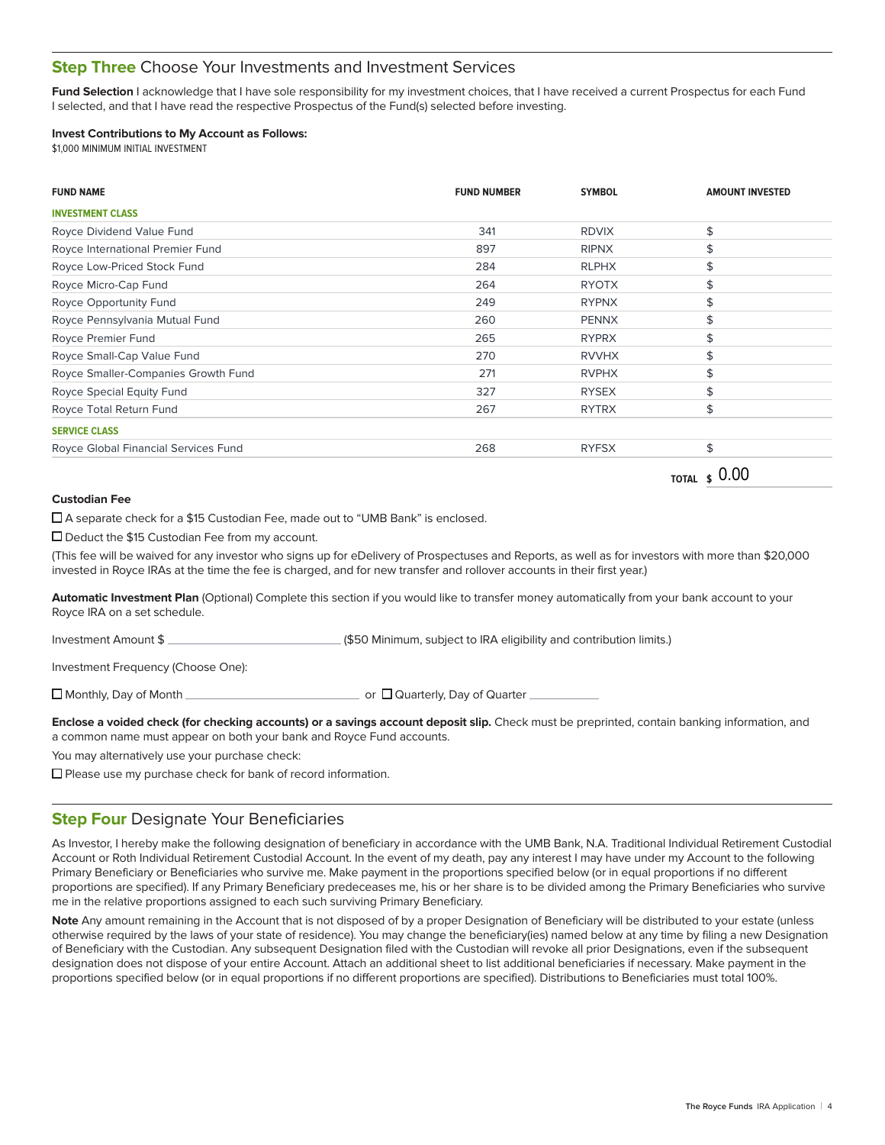# **Step Three** Choose Your Investments and Investment Services

Fund Selection I acknowledge that I have sole responsibility for my investment choices, that I have received a current Prospectus for each Fund I selected, and that I have read the respective Prospectus of the Fund(s) selected before investing.

# **Invest Contributions to My Account as Follows:**

\$1,000 MINIMUM INITIAL INVESTMENT

| <b>FUND NAME</b>                     | <b>FUND NUMBER</b> | <b>SYMBOL</b> | <b>AMOUNT INVESTED</b> |
|--------------------------------------|--------------------|---------------|------------------------|
| <b>INVESTMENT CLASS</b>              |                    |               |                        |
| Royce Dividend Value Fund            | 341                | <b>RDVIX</b>  | \$                     |
| Royce International Premier Fund     | 897                | <b>RIPNX</b>  | \$                     |
| Royce Low-Priced Stock Fund          | 284                | <b>RLPHX</b>  |                        |
| Royce Micro-Cap Fund                 | 264                | <b>RYOTX</b>  | S                      |
| Royce Opportunity Fund               | 249                | <b>RYPNX</b>  | \$                     |
| Royce Pennsylvania Mutual Fund       | 260                | <b>PENNX</b>  |                        |
| Royce Premier Fund                   | 265                | <b>RYPRX</b>  | \$                     |
| Royce Small-Cap Value Fund           | 270                | <b>RVVHX</b>  |                        |
| Royce Smaller-Companies Growth Fund  | 271                | <b>RVPHX</b>  |                        |
| Royce Special Equity Fund            | 327                | <b>RYSEX</b>  |                        |
| Royce Total Return Fund              | 267                | <b>RYTRX</b>  | \$                     |
| <b>SERVICE CLASS</b>                 |                    |               |                        |
| Royce Global Financial Services Fund | 268                | <b>RYFSX</b>  | \$                     |

**TOTAL \$** 0.00

# **Custodian Fee**

A separate check for a \$15 Custodian Fee, made out to "UMB Bank" is enclosed.

□ Deduct the \$15 Custodian Fee from my account.

(This fee will be waived for any investor who signs up for eDelivery of Prospectuses and Reports, as well as for investors with more than \$20,000 invested in Royce IRAs at the time the fee is charged, and for new transfer and rollover accounts in their first year.)

**Automatic Investment Plan** (Optional) Complete this section if you would like to transfer money automatically from your bank account to your Royce IRA on a set schedule.

Investment Amount \$ (\$50 Minimum, subject to IRA eligibility and contribution limits.)

Investment Frequency (Choose One):

Monthly, Day of Month or Quarterly, Day of Quarter

**Enclose a voided check (for checking accounts) or a savings account deposit slip.** Check must be preprinted, contain banking information, and a common name must appear on both your bank and Royce Fund accounts.

You may alternatively use your purchase check:

 $\square$  Please use my purchase check for bank of record information.

# **Step Four** Designate Your Beneficiaries

As Investor, I hereby make the following designation of beneficiary in accordance with the UMB Bank, N.A. Traditional Individual Retirement Custodial Account or Roth Individual Retirement Custodial Account. In the event of my death, pay any interest I may have under my Account to the following Primary Beneficiary or Beneficiaries who survive me. Make payment in the proportions specified below (or in equal proportions if no different proportions are specified). If any Primary Beneficiary predeceases me, his or her share is to be divided among the Primary Beneficiaries who survive me in the relative proportions assigned to each such surviving Primary Beneficiary.

**Note** Any amount remaining in the Account that is not disposed of by a proper Designation of Beneficiary will be distributed to your estate (unless otherwise required by the laws of your state of residence). You may change the beneficiary(ies) named below at any time by filing a new Designation of Beneficiary with the Custodian. Any subsequent Designation filed with the Custodian will revoke all prior Designations, even if the subsequent designation does not dispose of your entire Account. Attach an additional sheet to list additional beneficiaries if necessary. Make payment in the proportions specified below (or in equal proportions if no different proportions are specified). Distributions to Beneficiaries must total 100%.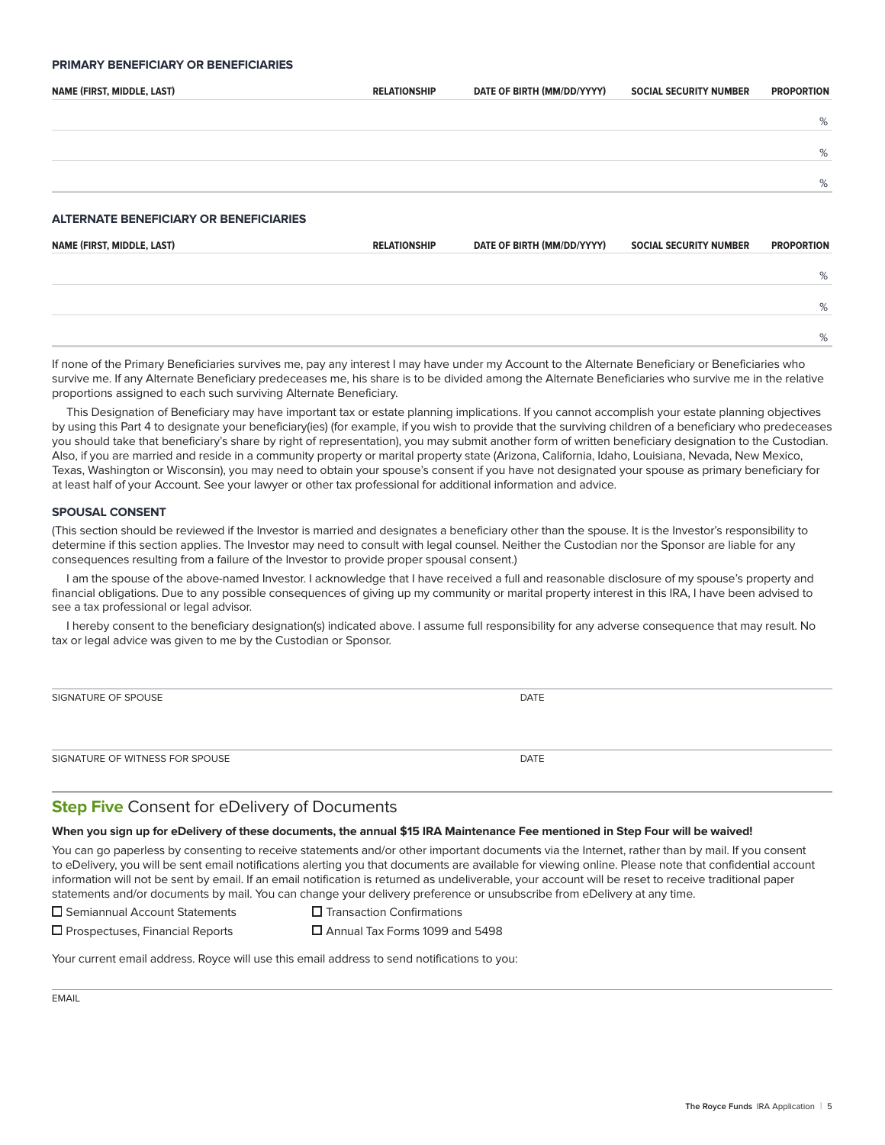# **PRIMARY BENEFICIARY OR BENEFICIARIES**

| NAME (FIRST, MIDDLE, LAST)                    | <b>RELATIONSHIP</b> | DATE OF BIRTH (MM/DD/YYYY) | <b>SOCIAL SECURITY NUMBER</b> | <b>PROPORTION</b> |
|-----------------------------------------------|---------------------|----------------------------|-------------------------------|-------------------|
|                                               |                     |                            |                               | %                 |
|                                               |                     |                            |                               | %                 |
|                                               |                     |                            |                               | %                 |
|                                               |                     |                            |                               |                   |
| <b>ALTERNATE BENEFICIARY OR BENEFICIARIES</b> |                     |                            |                               |                   |
| NAME (FIRST, MIDDLE, LAST)                    | <b>RELATIONSHIP</b> | DATE OF BIRTH (MM/DD/YYYY) | <b>SOCIAL SECURITY NUMBER</b> | <b>PROPORTION</b> |
|                                               |                     |                            |                               | %                 |
|                                               |                     |                            |                               | %                 |
|                                               |                     |                            |                               | %                 |

If none of the Primary Beneficiaries survives me, pay any interest I may have under my Account to the Alternate Beneficiary or Beneficiaries who survive me. If any Alternate Beneficiary predeceases me, his share is to be divided among the Alternate Beneficiaries who survive me in the relative proportions assigned to each such surviving Alternate Beneficiary.

This Designation of Beneficiary may have important tax or estate planning implications. If you cannot accomplish your estate planning objectives by using this Part 4 to designate your beneficiary(ies) (for example, if you wish to provide that the surviving children of a beneficiary who predeceases you should take that beneficiary's share by right of representation), you may submit another form of written beneficiary designation to the Custodian. Also, if you are married and reside in a community property or marital property state (Arizona, California, Idaho, Louisiana, Nevada, New Mexico, Texas, Washington or Wisconsin), you may need to obtain your spouse's consent if you have not designated your spouse as primary beneficiary for at least half of your Account. See your lawyer or other tax professional for additional information and advice.

#### **SPOUSAL CONSENT**

(This section should be reviewed if the Investor is married and designates a beneficiary other than the spouse. It is the Investor's responsibility to determine if this section applies. The Investor may need to consult with legal counsel. Neither the Custodian nor the Sponsor are liable for any consequences resulting from a failure of the Investor to provide proper spousal consent.)

I am the spouse of the above-named Investor. I acknowledge that I have received a full and reasonable disclosure of my spouse's property and financial obligations. Due to any possible consequences of giving up my community or marital property interest in this IRA, I have been advised to see a tax professional or legal advisor.

I hereby consent to the beneficiary designation(s) indicated above. I assume full responsibility for any adverse consequence that may result. No tax or legal advice was given to me by the Custodian or Sponsor.

| SIGNATURE OF SPOUSE             | <b>DATE</b> |
|---------------------------------|-------------|
|                                 |             |
|                                 |             |
| SIGNATURE OF WITNESS FOR SPOUSE | <b>DATE</b> |

# **Step Five** Consent for eDelivery of Documents

#### **When you sign up for eDelivery of these documents, the annual \$15 IRA Maintenance Fee mentioned in Step Four will be waived!**

You can go paperless by consenting to receive statements and/or other important documents via the Internet, rather than by mail. If you consent to eDelivery, you will be sent email notifications alerting you that documents are available for viewing online. Please note that confidential account information will not be sent by email. If an email notification is returned as undeliverable, your account will be reset to receive traditional paper statements and/or documents by mail. You can change your delivery preference or unsubscribe from eDelivery at any time.

□ Semiannual Account Statements<br>
□ Transaction Confirmations

□ Prospectuses, Financial Reports<br>
□ Annual Tax Forms 1099 and 5498

Your current email address. Royce will use this email address to send notifications to you: